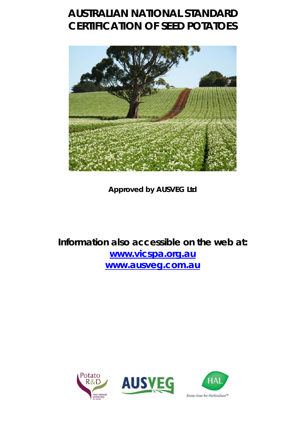# **AUSTRALIAN NATIONAL STANDARD CERTIFICATION OF SEED POTATOES**



**Approved by AUSVEG Ltd** 

**Information also accessible on the web at: [www.vicspa.org.au](http://www.vicspa.org.au/) [www.ausveg.com.au](http://www.ausveg.com.au/)** 

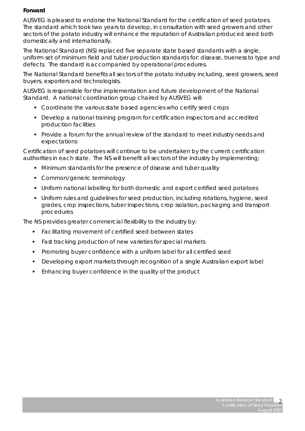# **Forward**

AUSVEG is pleased to endorse the National Standard for the certification of seed potatoes. The standard which took two years to develop, in consultation with seed growers and other sectors of the potato industry will enhance the reputation of Australian produced seed both domestically and internationally.

The National Standard (NS) replaced five separate state based standards with a single, uniform set of minimum field and tuber production standards for: disease, trueness to type and defects. The standard is accompanied by operational procedures.

The National Standard benefits all sectors of the potato industry including, seed growers, seed buyers, exporters and technologists.

AUSVEG is responsible for the implementation and future development of the National Standard. A national coordination group chaired by AUSVEG will:

- Coordinate the various state based agencies who certify seed crops
- Develop a national training program for certification inspectors and accredited production facilities
- Provide a forum for the annual review of the standard to meet industry needs and expectations

Certification of seed potatoes will continue to be undertaken by the current certification authorities in each state. The NS will benefit all sectors of the industry by implementing;

- Minimum standards for the presence of disease and tuber quality
- Common/generic terminology
- Uniform national labelling for both domestic and export certified seed potatoes
- Uniform rules and guidelines for seed production, including rotations, hygiene, seed grades, crop inspections, tuber inspections, crop isolation, packaging and transport procedures

The NS provides greater commercial flexibility to the industry by:

- **Facilitating movement of certified seed between states**
- **Fast tracking production of new varieties for special markets**
- **Promoting buyer confidence with a uniform label for all certified seed**
- **Developing export markets through recognition of a single Australian export label**
- Enhancing buyer confidence in the quality of the product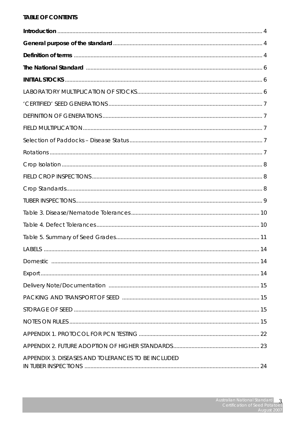# **TABLE OF CONTENTS**

| The National Standard <b>Material Communities</b> (6) |  |
|-------------------------------------------------------|--|
|                                                       |  |
|                                                       |  |
|                                                       |  |
|                                                       |  |
|                                                       |  |
|                                                       |  |
|                                                       |  |
|                                                       |  |
|                                                       |  |
|                                                       |  |
|                                                       |  |
|                                                       |  |
|                                                       |  |
|                                                       |  |
|                                                       |  |
|                                                       |  |
|                                                       |  |
|                                                       |  |
|                                                       |  |
|                                                       |  |
|                                                       |  |
|                                                       |  |
|                                                       |  |
| APPENDIX 3. DISEASES AND TOLERANCES TO BE INCLUDED    |  |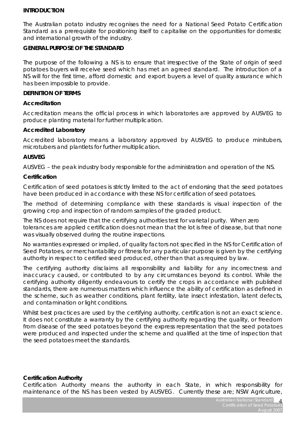#### **INTRODUCTION**

The Australian potato industry recognises the need for a National Seed Potato Certification Standard as a prerequisite for positioning itself to capitalise on the opportunities for domestic and international growth of the industry.

#### **GENERAL PURPOSE OF THE STANDARD**

The purpose of the following a NS is to ensure that irrespective of the State of origin of seed potatoes buyers will receive seed which has met an agreed standard. The introduction of a NS will for the first time, afford domestic and export buyers a level of quality assurance which has been impossible to provide.

#### **DEFINITION OF TERMS**

#### **Accreditation**

Accreditation means the official process in which laboratories are approved by AUSVEG to produce planting material for further multiplication.

#### **Accredited Laboratory**

Accredited laboratory means a laboratory approved by AUSVEG to produce minitubers, microtubers and plantlets for further multiplication.

### **AUSVEG**

AUSVEG – the peak industry body responsible for the administration and operation of the NS.

#### **Certification**

Certification of seed potatoes is strictly limited to the act of endorsing that the seed potatoes have been produced in accordance with these NS for certification of seed potatoes.

The method of determining compliance with these standards is visual inspection of the growing crop and inspection of random samples of the graded product.

The NS does not require that the certifying authorities test for varietal purity. When zero tolerances are applied certification does not mean that the lot is free of disease, but that none was visually observed during the routine inspections.

No warranties expressed or implied, of quality factors not specified in the NS for Certification of Seed Potatoes, or merchantability or fitness for any particular purpose is given by the certifying authority in respect to certified seed produced, other than that as required by law.

The certifying authority disclaims all responsibility and liability for any incorrectness and inaccuracy caused, or contributed to by any circumstances beyond its control. While the certifying authority diligently endeavours to certify the crops in accordance with published standards, there are numerous matters which influence the ability of certification as defined in the scheme, such as weather conditions, plant fertility, late insect infestation, latent defects, and contamination or light conditions.

Whilst best practices are used by the certifying authority, certification is not an exact science. It does not constitute a warranty by the certifying authority regarding the quality, or freedom from disease of the seed potatoes beyond the express representation that the seed potatoes were produced and inspected under the scheme and qualified at the time of inspection that the seed potatoes meet the standards.

#### **Certification Authority**

Certification Authority means the authority in each State, in which responsibility for maintenance of the NS has been vested by AUSVEG. Currently these are; NSW Agriculture,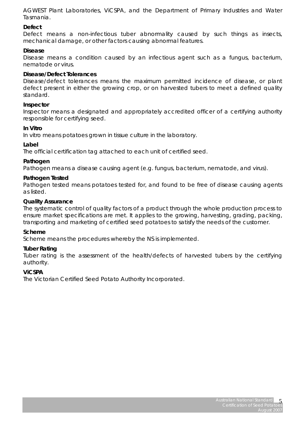AGWEST Plant Laboratories, ViCSPA, and the Department of Primary Industries and Water Tasmania.

#### **Defect**

Defect means a non-infectious tuber abnormality caused by such things as insects, mechanical damage, or other factors causing abnormal features.

#### **Disease**

Disease means a condition caused by an infectious agent such as a fungus, bacterium, nematode or virus.

#### **Disease/Defect Tolerances**

Disease/defect tolerances means the maximum permitted incidence of disease, or plant defect present in either the growing crop, or on harvested tubers to meet a defined quality standard.

#### **Inspector**

Inspector means a designated and appropriately accredited officer of a certifying authority responsible for certifying seed.

#### **In Vitro**

*In vitro* means potatoes grown in tissue culture in the laboratory.

#### **Label**

The official certification tag attached to each unit of certified seed.

#### **Pathogen**

Pathogen means a disease causing agent (e.g. fungus, bacterium, nematode, and virus).

#### **Pathogen Tested**

Pathogen tested means potatoes tested for, and found to be free of disease causing agents as listed.

#### **Quality Assurance**

The systematic control of quality factors of a product through the whole production process to ensure market specifications are met. It applies to the growing, harvesting, grading, packing, transporting and marketing of certified seed potatoes to satisfy the needs of the customer.

#### **Scheme**

Scheme means the procedures whereby the NS is implemented.

#### **Tuber Rating**

Tuber rating is the assessment of the health/defects of harvested tubers by the certifying authority.

#### **ViCSPA**

The Victorian Certified Seed Potato Authority Incorporated.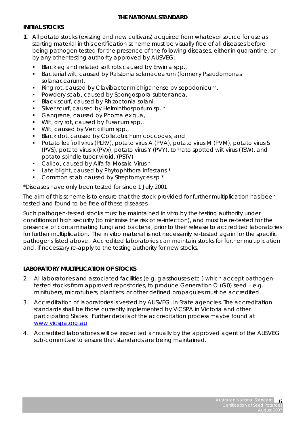# **THE NATIONAL STANDARD**

# **INITIAL STOCKS**

- **1**. All potato stocks (existing and new cultivars) acquired from whatever source for use as starting material in this certification scheme must be visually free of all diseases before being pathogen tested for the presence of the following diseases, either in quarantine, or by any other testing authority approved by AUSVEG:
	- Blackleg and related soft rots caused by *Erwinia spp*.,
	- Bacterial wilt, caused by Ralstonia solanacearum (formerly Pseudomonas solanacearum),
	- Ring rot, caused by *Clavibacter michiganense* pv *sepodonicum*,
	- Powdery scab, caused by *Spongospora subterranea*,
	- Black scurf, caused by *Rhizoctonia solani*,
	- Silver scurf, caused by *Helminthosporium sp*.,\*
	- Gangrene, caused by *Phoma exigua*,
	- Wilt, dry rot, caused by *Fusarium spp*.,
	- Wilt, caused by *Verticillium spp*.,
	- Black dot, caused by *Colletotrichum coccodes*, and
	- Potato leafroll virus (PLRV), potato virus A (PVA), potato virus M (PVM), potato virus S (PVS), potato virus x (PVx), potato virus Y (PVY), tomato spotted wilt virus (TSW), and potato spindle tuber viroid. (PSTV)
	- Calico, caused by *Alfalfa Mosaic Virus* \*
	- Late blight, caused by *Phytophthora infestans* \*
	- Common scab caused by *Streptomyces sp* \*

\*Diseases have only been tested for since 1 July 2001

The aim of this scheme is to ensure that the stock provided for further multiplication has been tested and found to be free of these diseases.

Such pathogen-tested stocks must be maintained *in vitro* by the testing authority under conditions of high security (to minimise the risk of re-infection), and must be re-tested for the presence of contaminating fungi and bacteria, prior to their release to accredited laboratories for further multiplication. The *in vitro* material is not necessarily re-tested again for the specific pathogens listed above. Accredited laboratories can maintain stocks for further multiplication and, if necessary re-apply to the testing authority for new stocks.

# **LABORATORY MULTIPLICATION OF STOCKS**

- 2. All laboratories and associated facilities (e.g. glasshouses etc.) which accept pathogentested stocks from approved repositories, to produce Generation O (G0) seed – e.g. minitubers, microtubers, plantlets, or other defined propagules must be accredited.
- 3. Accreditation of laboratories is vested by AUSVEG, in State agencies. The accreditation standards shall be those currently implemented by ViCSPA in Victoria and other participating States. Further details of the accreditation process maybe found at [www.vicspa.org.au](http://www.vicspa.org.au/)
- 4. Accredited laboratories will be inspected annually by the approved agent of the AUSVEG sub-committee to ensure that standards are being maintained.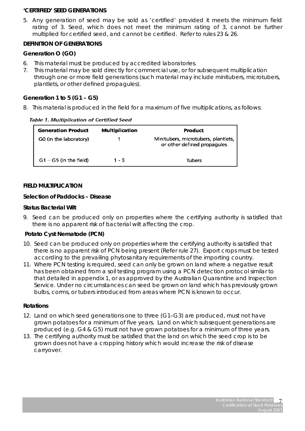#### **'CERTIFIED' SEED GENERATIONS**

5. Any generation of seed may be sold as 'certified' provided it meets the minimum field rating of 3. Seed, which does not meet the minimum rating of 3, cannot be further multiplied for certified seed, and cannot be certified. Refer to rules 23 & 26.

# **DEFINITION OF GENERATIONS**

#### *Generation O (GO)*

- 6. This material must be produced by accredited laboratories.
- 7. This material may be sold directly for commercial use, or for subsequent multiplication through one or more field generations (such material may include minitubers, microtubers, plantlets, or other defined propagules).

# *Generation 1 to 5 (G1 – G5)*

8. This material is produced in the field for a maximum of five multiplications, as follows:

Table 1. Multiplication of Certified Seed

| <b>Generation Product</b> | <b>Multiplication</b> | Product                                                            |
|---------------------------|-----------------------|--------------------------------------------------------------------|
| G0 (in the laboratory)    |                       | Minitubers, microtubers, plantlets,<br>or other defined propagules |
| $G1 - G5$ (in the field)  | $1 - 5$               | <b>Tubers</b>                                                      |

#### **FIELD MULTIPLICATION**

#### *Selection of Paddocks – Disease*

#### *Status Bacterial Wilt*

9. Seed can be produced only on properties where the certifying authority is satisfied that there is no apparent risk of bacterial wilt affecting the crop.

### *Potato Cyst Nematode (PCN)*

- 10. Seed can be produced only on properties where the certifying authority is satisfied that there is no apparent risk of PCN being present (Refer rule 27). Export crops must be tested according to the prevailing phytosanitary requirements of the importing country.
- 11. Where PCN testing is required, seed can only be grown on land where a negative result has been obtained from a soil testing program using a PCN detection protocol similar to that detailed in appendix 1, or as approved by the Australian Quarantine and Inspection Service. Under no circumstances can seed be grown on land which has previously grown bulbs, corms, or tubers introduced from areas where PCN is known to occur.

### *Rotations*

- 12. Land on which seed generations one to three (G1–G3) are produced, must not have grown potatoes for a minimum of five years. Land on which subsequent generations are produced (e.g. G4 & G5) must not have grown potatoes for a minimum of three years.
- 13. The certifying authority must be satisfied that the land on which the seed crop is to be grown does not have a cropping history which would increase the risk of disease carryover.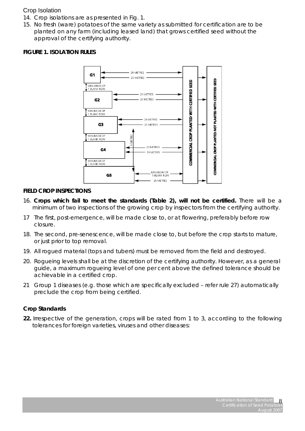# Crop Isolation

- 14. Crop isolations are as presented in Fig. 1.
- 15. No fresh (ware) potatoes of the same variety as submitted for certification are to be planted on any farm (including leased land) that grows certified seed without the approval of the certifying authority.

# *FIGURE 1. ISOLATION RULES*



### **FIELD CROP INSPECTIONS**

- 16. *Crops which fail to meet the standards (Table 2), will not be certified.* There will be a minimum of two inspections of the growing crop by inspectors from the certifying authority.
- 17 The first, post-emergence, will be made close to, or at flowering, preferably before row closure.
- 18. The second, pre-senescence, will be made close to, but before the crop starts to mature, or just prior to top removal.
- 19. All rogued material (tops and tubers) must be removed from the field and destroyed.
- 20. Rogueing levels shall be at the discretion of the certifying authority. However, as a general guide, a maximum rogueing level of one per cent above the defined tolerance should be achievable in a certified crop.
- 21 Group 1 diseases (e.g. those which are specifically excluded refer rule 27) automatically preclude the crop from being certified.

### *Crop Standards*

**22.** Irrespective of the generation, crops will be rated from 1 to 3, according to the following tolerances for foreign varieties, viruses and other diseases: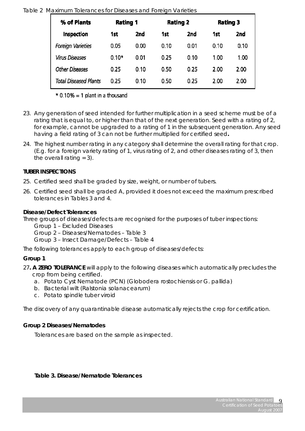# Table 2 Maximum Tolerances for Diseases and Foreign Varieties

| % of Plants              | <b>Rating 1</b> |                 | <b>Rating 2</b> |      | <b>Rating 3</b> |      |
|--------------------------|-----------------|-----------------|-----------------|------|-----------------|------|
| Inspection               | 1st             | 2 <sub>nd</sub> | 1st             | 2nd  | 1st             | 2nd  |
| <b>Foreign Varieties</b> | 0.05            | 0.00            | 0.10            | 0.01 | 0.10            | 0.10 |
| <b>Virus Diseases</b>    | $0.10*$         | 0.01            | 0.25            | 0.10 | 1.00            | 1.00 |
| <b>Other Diseases</b>    | 0.25            | 0.10            | 0.50            | 0.25 | 2.00            | 2.00 |
| Total Diseased Plants    | 0.25            | 0.10            | 0.50            | 0.25 | 2.00            | 2.00 |

 $*$  0.10% = 1 plant in a thousand

- 23. Any generation of seed intended for further multiplication in a seed scheme must be of a rating that is equal to, or higher than that of the next generation. Seed with a rating of 2, for example, cannot be upgraded to a rating of 1 in the subsequent generation. Any seed having a field rating of 3 can not be further multiplied for certified seed**.**
- 24. The highest number rating in any category shall determine the overall rating for that crop. (E.g. for a foreign variety rating of 1, virus rating of 2, and other diseases rating of 3, then the overall rating  $= 3$ ).

# **TUBER INSPECTIONS**

- 25. Certified seed shall be graded by size, weight, or number of tubers.
- 26. Certified seed shall be graded A, provided it does not exceed the maximum prescribed tolerances in Tables 3 and 4.

# *Disease/Defect Tolerances*

Three groups of diseases/defects are recognised for the purposes of tuber inspections:

- Group 1 Excluded Diseases
- Group 2 Diseases/Nematodes Table 3
- Group 3 Insect Damage/Defects Table 4

The following tolerances apply to each group of diseases/defects:

# *Group 1*

27**. A ZERO TOLERANCE** will apply to the following diseases which automatically precludes the crop from being certified.

- a. Potato Cyst Nematode (PCN) (*Globodera rostochiensis* or G. *pallida*)
- b. Bacterial wilt (*Ralstonia solanacearum*)
- c. Potato spindle tuber viroid

The discovery of any quarantinable disease automatically rejects the crop for certification.

# *Group 2 Diseases/Nematodes*

*Tolerances are based on the sample as inspected.* 

# *Table 3. Disease/Nematode Tolerances*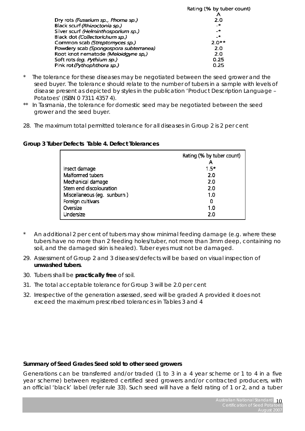|                                        | Rating (% by tuber count) |
|----------------------------------------|---------------------------|
|                                        |                           |
| Dry rots (Fusarium sp., Phoma sp.)     | 2.0                       |
| Black scurf (Rhizoctonia sp.)          | $-*$                      |
| Silver scurf (Helminthosporium sp.)    | $-$                       |
| Black dot (Collectorichum sp.)         | _*                        |
| Common scab (Streptomyces sp.)         | $2.0**$                   |
| Powdery scab (Spongospora subterranea) | 2.0                       |
| Root knot nematode (Meloidgyne sp,)    | 2.0                       |
| Soft rots (eg. Pythium sp.)            | 0.25                      |
| Pink rot (Pythophthora sp.)            | 0.25                      |
|                                        |                           |

- The tolerance for these diseases may be negotiated between the seed grower and the seed buyer. The tolerance should relate to the number of tubers in a sample with levels of disease present as depicted by styles in the publication 'Product Description Language – Potatoes' (ISBN 0 7311 4357 4).
- \*\* In Tasmania, the tolerance for domestic seed may be negotiated between the seed grower and the seed buyer.
- 28. The maximum total permitted tolerance for all diseases in Group 2 is 2 per cent

|                             | Rating (% by tuber count) |
|-----------------------------|---------------------------|
|                             |                           |
| Insect damage               | $1.5*$                    |
| Malformed tubers            | 2.0                       |
| Mechanical damage           | 20                        |
| Stem end discolouration     | 20                        |
| Miscellaneous (eg. sunburn) | 1.0                       |
| Foreign cultivars           | 0                         |
| Oversize                    | 10                        |
| Undersize                   | 2.0                       |

# *Group 3 Tuber Defects Table 4. Defect Tolerances*

- An additional 2 per cent of tubers may show minimal feeding damage (e.g. where these tubers have no more than 2 feeding holes/tuber, not more than 3mm deep, containing no soil, and the damaged skin is healed). Tuber eyes must not be damaged.
- 29. Assessment of Group 2 and 3 diseases/defects will be based on visual inspection of **unwashed tubers**.
- 30. Tubers shall be **practically free** of soil.
- 31. The total acceptable tolerance for Group 3 will be 2.0 per cent
- 32. Irrespective of the generation assessed, seed will be graded A provided it does not exceed the maximum prescribed tolerances in Tables 3 and 4

# **Summary of Seed Grades Seed sold to other seed growers**

Generations can be transferred and/or traded (1 to 3 in a 4 year scheme or 1 to 4 in a five year scheme) between registered certified seed growers and/or contracted producers, with an official 'black' label (refer rule 33). Such seed will have a field rating of 1 or 2, and a tuber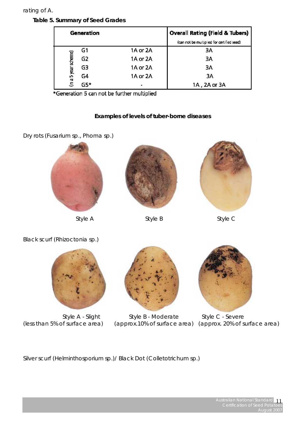#### rating of A.

# *Table 5. Summary of Seed Grades*

| Generation           |                |          | <b>Overall Rating (Field &amp; Tubers)</b> |
|----------------------|----------------|----------|--------------------------------------------|
|                      |                |          | (can not be multiplied for certified seed) |
|                      | G1             | 1A or 2A | ЗΑ                                         |
|                      | G <sub>2</sub> | 1A or 2A | 3A                                         |
|                      | G3             | 1A or 2A | 3A                                         |
| (in a 5 year scheme) | G4             | 1A or 2A | 3A                                         |
|                      | $G5*$          |          | 1A, 2A or 3A                               |

\*Generation 5 can not be further multiplied

# **Examples of levels of tuber-borne diseases**

Dry rots (Fusarium sp., Phoma sp.)



*Style A Style B Style C* 





Black scurf (Rhizoctonia sp.)





*Style A - Slight Style B - Moderate Style C - Severe* 



*(less than 5% of surface area) (approx.10% of surface area) (approx. 20% of surface area)*

Silver scurf *(Helminthosporium sp.)/* Black Dot *(Colletotrichum sp.)*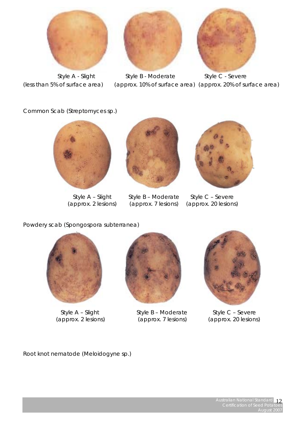





Style A - Slight Style B - Moderate Style C - Severe *(less than 5% of surface area) (approx. 10% of surface area) (approx. 20% of surface area)* 

Common Scab (Streptomyces sp.)





Style A – Slight Style B – Moderate Style C – Severe<br>(approx. 2 lesions) (approx. 7 lesions) (approx. 20 lesions)



(approx. 7 lesions) (approx. 20 lesions)

Powdery scab *(Spongospora subterranea)* 





Style A – Slight Style B – Moderate Style C – Severe (approx. 2 lesions) (approx. 7 lesions) (approx. 20 lesions)



(approx. 2 lesions) (approx. 7 lesions) (approx. 20 lesions)

Root knot nematode (Meloidogyne sp.)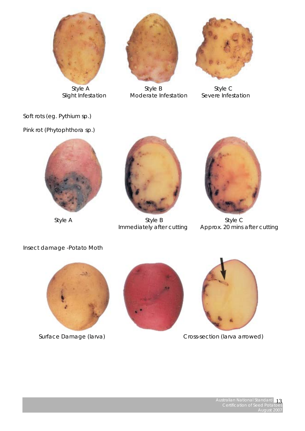



Style A Style B Style C Slight Infestation Moderate Infestation Severe Infestation



Soft rots *(eg. Pythium sp.)* 

Pink rot (Phytophthora sp.)





Style A Style B Style B Style C



Immediately after cutting Approx. 20 mins after cutting

Insect damage -*Potato Moth* 







 *Surface Damage (larva) Cross-section (larva arrowed)*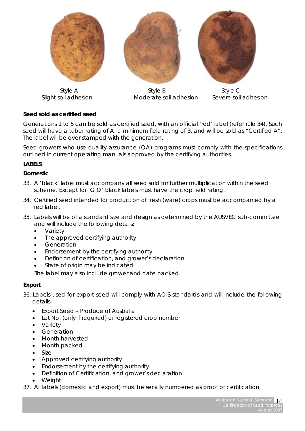





Style A Government Control Style B Style C Style C Slight soil adhesion Moderate soil adhesion Severe soil adhesion

# **Seed sold as certified seed**

Generations 1 to 5 can be sold as certified seed, with an official 'red' label (refer rule 34). Such seed will have a tuber rating of A, a minimum field rating of 3, and will be sold as "Certified A". The label will be over stamped with the generation.

Seed growers who use quality assurance (QA) programs must comply with the specifications outlined in current operating manuals approved by the certifying authorities.

# **LABELS**

### *Domestic*

- 33. A 'black' label must accompany all seed sold for further multiplication within the seed scheme. Except for 'G O' black labels must have the crop field rating.
- 34. Certified seed intended for production of fresh (ware) crops must be accompanied by a red label.
- 35. Labels will be of a standard size and design as determined by the AUSVEG sub-committee and will include the following details:
	- Variety
	- The approved certifying authority
	- Generation
	- Endorsement by the certifying authority
	- Definition of certification, and grower's declaration
	- State of origin may be indicated

The label may also include grower and date packed.

# *Export*

- 36. Labels used for export seed will comply with AQIS standards and will include the following details:
	- Export Seed Produce of Australia
	- Lot No. (only if required) or registered crop number
	- Variety
	- **Generation**
	- Month harvested
	- Month packed
	- Size
	- Approved certifying authority
	- Endorsement by the certifying authority
	- Definition of Certification, and grower's declaration
	- Weight
- 37. All labels (domestic and export) must be serially numbered as proof of certification.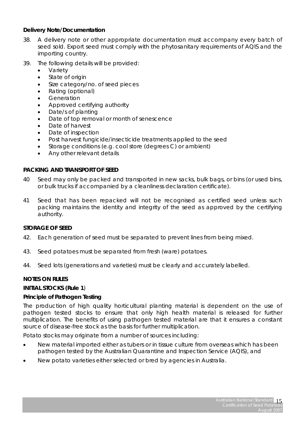# *Delivery Note/Documentation*

- 38. A delivery note or other appropriate documentation must accompany every batch of seed sold. Export seed must comply with the phytosanitary requirements of AQIS and the importing country.
- 39. The following details will be provided:
	- **Variety**
	- State of origin
	- Size category/no. of seed pieces
	- Rating (optional)
	- **Generation**
	- Approved certifying authority
	- Date/s of planting
	- Date of top removal or month of senescence
	- Date of harvest
	- Date of inspection
	- Post harvest fungicide/insecticide treatments applied to the seed
	- Storage conditions (e.g. cool store (degrees C) or ambient)
	- Any other relevant details

# **PACKING AND TRANSPORT OF SEED**

- 40 Seed may only be packed and transported in new sacks, bulk bags, or bins (or used bins, or bulk trucks if accompanied by a cleanliness declaration certificate).
- 41 Seed that has been repacked will not be recognised as certified seed unless such packing maintains the identity and integrity of the seed as approved by the certifying authority.

### **STORAGE OF SEED**

- 42. Each generation of seed must be separated to prevent lines from being mixed.
- 43. Seed potatoes must be separated from fresh (ware) potatoes.
- 44. Seed lots (generations and varieties) must be clearly and accurately labelled.

### **NOTES ON RULES**

### **INITIAL STOCKS (Rule 1**)

### **Principle of Pathogen Testing**

The production of high quality horticultural planting material is dependent on the use of pathogen tested stocks to ensure that only high health material is released for further multiplication. The benefits of using pathogen tested material are that it ensures a constant source of disease-free stock as the basis for further multiplication.

Potato stocks may originate from a number of sources including:

- New material imported either as tubers or in tissue culture from overseas which has been pathogen tested by the Australian Quarantine and Inspection Service (AQIS), and
- New potato varieties either selected or bred by agencies in Australia.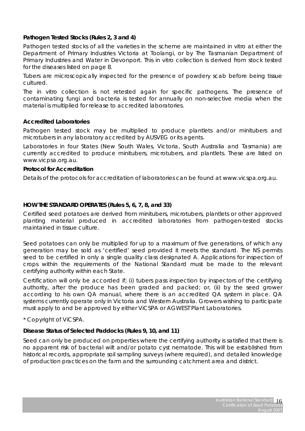# **Pathogen Tested Stocks (Rules 2, 3 and 4)**

Pathogen tested stocks of all the varieties in the scheme are maintained *in vitro* at either the Department of Primary Industries Victoria at Toolangi, or by The Tasmanian Department of Primary Industries and Water in Devonport. This *in vitro* collection is derived from stock tested for the diseases listed on page 8.

Tubers are microscopically inspected for the presence of powdery scab before being tissue cultured.

The *in vitro* collection is not retested again for specific pathogens. The presence of contaminating fungi and bacteria is tested for annually on non-selective media when the material is multiplied for release to accredited laboratories.

# **Accredited Laboratories**

Pathogen tested stock may be multiplied to produce plantlets and/or minitubers and microtubers in any laboratory accredited by AUSVEG or its agents.

Laboratories in four States (New South Wales, Victoria, South Australia and Tasmania) are currently accredited to produce minitubers, microtubers, and plantlets. These are listed on www.vicpsa.org.au.

#### **Protocol for Accreditation**

Details of the protocols for accreditation of laboratories can be found at www.vicspa.org.au.

### **HOW THE STANDARD OPERATES (Rules 5, 6, 7, 8, and 33)**

Certified seed potatoes are derived from minitubers, microtubers, plantlets or other approved planting material produced in accredited laboratories from pathogen-tested stocks maintained in tissue culture.

Seed potatoes can only be multiplied for up to a maximum of five generations, of which any generation may be sold as 'certified' seed provided it meets the standard. The NS permits seed to be certified in only a single quality class designated A. Applications for inspection of crops within the requirements of the National Standard must be made to the relevant certifying authority within each State.

Certification will only be accorded if; (i) tubers pass inspection by inspectors of the certifying authority, after the produce has been graded and packed; or, (ii) by the seed grower according to his own QA manual, where there is an accredited QA system in place. QA systems currently operate only in Victoria and Western Australia. Growers wishing to participate must apply to and be approved by either ViCSPA or AGWEST Plant Laboratories.

### *\* Copyright of ViCSPA.*

### **Disease Status of Selected Paddocks (Rules 9, 10, and 11)**

Seed can only be produced on properties where the certifying authority is satisfied that there is no apparent risk of bacterial wilt and/or potato cyst nematode. This will be established from historical records, appropriate soil sampling surveys (where required), and detailed knowledge of production practices on the farm and the surrounding catchment area and district.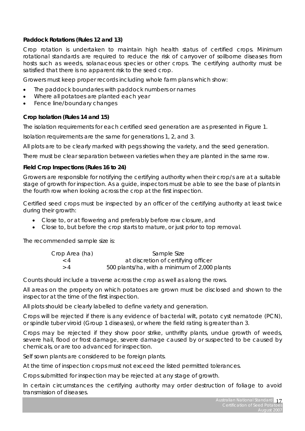# **Paddock Rotations (Rules 12 and 13)**

Crop rotation is undertaken to maintain high health status of certified crops. Minimum rotational standards are required to reduce the risk of carryover of soilborne diseases from hosts such as weeds, solanaceous species or other crops. The certifying authority must be satisfied that there is no apparent risk to the seed crop.

Growers must keep proper records including whole farm plans which show:

- The paddock boundaries with paddock numbers or names
- Where all potatoes are planted each year
- Fence line/boundary changes

### **Crop Isolation (Rules 14 and 15)**

The isolation requirements for each certified seed generation are as presented in Figure 1.

Isolation requirements are the same for generations 1, 2, and 3.

All plots are to be clearly marked with pegs showing the variety, and the seed generation.

There must be clear separation between varieties when they are planted in the same row.

#### **Field Crop Inspections (Rules 16 to 24)**

Growers are responsible for notifying the certifying authority when their crop/s are at a suitable stage of growth for inspection. As a guide, inspectors must be able to see the base of plants in the fourth row when looking across the crop at the first inspection.

Certified seed crops must be inspected by an officer of the certifying authority at least twice during their growth:

- Close to, or at flowering and preferably before row closure, and
- Close to, but before the crop starts to mature, or just prior to top removal.

The recommended sample size is:

| Crop Area (ha) | Sample Size                                   |
|----------------|-----------------------------------------------|
| $\langle 4$    | at discretion of certifying officer           |
| >4             | 500 plants/ha, with a minimum of 2,000 plants |

Counts should include a traverse across the crop as well as along the rows.

All areas on the property on which potatoes are grown must be disclosed and shown to the inspector at the time of the first inspection.

All plots should be clearly labelled to define variety and generation.

Crops will be rejected if there is any evidence of bacterial wilt, potato cyst nematode (PCN), or spindle tuber viroid (Group 1 diseases), or where the field rating is greater than 3.

Crops may be rejected if they show poor strike, unthrifty plants, undue growth of weeds, severe hail, flood or frost damage, severe damage caused by or suspected to be caused by chemicals, or are too advanced for inspection.

Self sown plants are considered to be foreign plants.

At the time of inspection crops must not exceed the listed permitted tolerances.

Crops submitted for inspection may be rejected at any stage of growth.

In certain circumstances the certifying authority may order destruction of foliage to avoid transmission of diseases.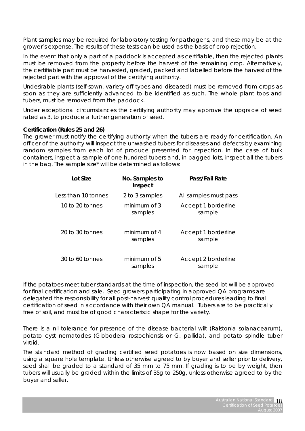Plant samples may be required for laboratory testing for pathogens, and these may be at the grower's expense. The results of these tests can be used as the basis of crop rejection.

In the event that only a part of a paddock is accepted as certifiable, then the rejected plants must be removed from the property before the harvest of the remaining crop. Alternatively, the certifiable part must be harvested, graded, packed and labelled before the harvest of the rejected part with the approval of the certifying authority.

Undesirable plants (self-sown, variety off types and diseased) must be removed from crops as soon as they are sufficiently advanced to be identified as such. The whole plant tops and tubers, must be removed from the paddock.

Under exceptional circumstances the certifying authority may approve the upgrade of seed rated as 3, to produce a further generation of seed.

#### **Certification (Rules 25 and 26)**

The grower must notify the certifying authority when the tubers are ready for certification. An officer of the authority will inspect the unwashed tubers for diseases and defects by examining random samples from each lot of produce presented for inspection. In the case of bulk containers, inspect a sample of one hundred tubers and, in bagged lots, inspect all the tubers in the bag. The sample size\* will be determined as follows:

| Lot Size            | No. Samples to<br>Inspect | Pass/Fail Rate                |
|---------------------|---------------------------|-------------------------------|
| Less than 10 tonnes | 2 to 3 samples            | All samples must pass         |
| 10 to 20 tonnes     | minimum of 3<br>samples   | Accept 1 borderline<br>sample |
| 20 to 30 tonnes     | minimum of 4<br>samples   | Accept 1 borderline<br>sample |
| $30$ to 60 tonnes   | minimum of 5<br>samples   | Accept 2 borderline<br>sample |

If the potatoes meet tuber standards at the time of inspection, the seed lot will be approved for final certification and sale. Seed growers participating in approved QA programs are delegated the responsibility for all post-harvest quality control procedures leading to final certification of seed in accordance with their own QA manual. Tubers are to be practically free of soil, and must be of good characteristic shape for the variety.

There is a nil tolerance for presence of the disease bacterial wilt (*Ralstonia solanacearum*), potato cyst nematodes (*Globodera rostochiensis* or *G. pallida*), and potato spindle tuber viroid.

The standard method of grading certified seed potatoes is now based on size dimensions, using a square hole template. Unless otherwise agreed to by buyer and seller prior to delivery, seed shall be graded to a standard of 35 mm to 75 mm. If grading is to be by weight, then tubers will usually be graded within the limits of 35g to 250g, unless otherwise agreed to by the buyer and seller.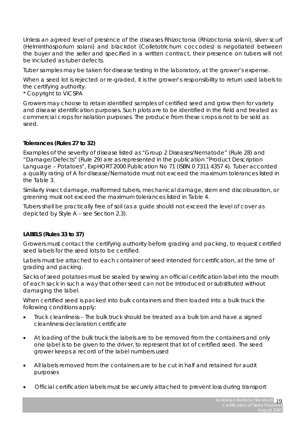Unless an agreed level of presence of the diseases Rhizoctonia (*Rhizoctonia solani*), silver scurf (*Helminthosporium solani*) and blackdot (*Colletotrichum coccodes*) is negotiated between the buyer and the seller and specified in a written contract, their presence on tubers will not be included as tuber defects.

Tuber samples may be taken for disease testing in the laboratory, at the grower's expense.

When a seed lot is rejected or re-graded, it is the grower's responsibility to return used labels to the certifying authority.

*\* Copyright to ViCSPA* 

Growers may choose to retain identified samples of certified seed and grow then for variety and disease identification purposes. Such plots are to be identified in the field and treated as commercial crops for isolation purposes. The produce from these crops is not to be sold as seed.

# **Tolerances (Rules 27 to 32)**

Examples of the severity of disease listed as "Group 2 Diseases/Nematode" (Rule 28) and "Damage/Defects" (Rule 29) are as represented in the publication "Product Description Language – Potatoes", ExpHORT 2000 Publication No 71 (ISBN 0 7311 4357 4). Tuber accorded a quality rating of A for disease/Nematode must not exceed the maximum tolerances listed in the Table 3.

Similarly insect damage, malformed tubers, mechanical damage, stem end discolouration, or greening must not exceed the maximum tolerances listed in Table 4.

Tubers shall be practically free of soil (as a guide should not exceed the level of cover as depicted by Style A – see Section 2.3).

# **LABELS (Rules 33 to 37)**

Growers must contact the certifying authority before grading and packing, to request certified seed labels for the seed lots to be certified.

Labels must be attached to each container of seed intended for certification, at the time of grading and packing.

Sacks of seed potatoes must be sealed by sewing an official certification label into the mouth of each sack in such a way that other seed can not be introduced or substituted without damaging the label.

When certified seed is packed into bulk containers and then loaded into a bulk truck the following conditions apply:

- Truck cleanliness The bulk truck should be treated as a bulk bin and have a signed cleanliness declaration certificate
- At loading of the bulk truck the labels are to be removed from the containers and only one label is to be given to the driver, to represent that lot of certified seed. The seed grower keeps a record of the label numbers used
- All labels removed from the containers are to be cut in half and retained for audit purposes
- Official certification labels must be securely attached to prevent loss during transport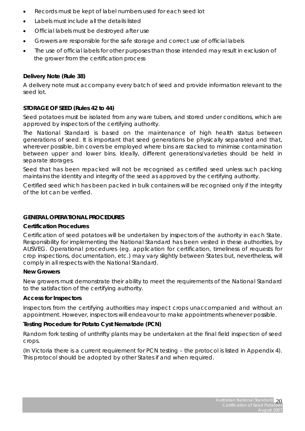- Records must be kept of label numbers used for each seed lot
- Labels must include all the details listed
- Official labels must be destroyed after use
- Growers are responsible for the safe storage and correct use of official labels
- The use of official labels for other purposes than those intended may result in exclusion of the grower from the certification process

#### **Delivery Note (Rule 38)**

A delivery note must accompany every batch of seed and provide information relevant to the seed lot.

#### **STORAGE OF SEED (Rules 42 to 44)**

Seed potatoes must be isolated from any ware tubers, and stored under conditions, which are approved by inspectors of the certifying authority.

The National Standard is based on the maintenance of high health status between generations of seed. It is important that seed generations be physically separated and that, wherever possible, bin covers be employed where bins are stacked to minimise contamination between upper and lower bins. Ideally, different generations/varieties should be held in separate storages.

Seed that has been repacked will not be recognised as certified seed unless such packing maintains the identity and integrity of the seed as approved by the certifying authority.

Certified seed which has been packed in bulk containers will be recognised only if the integrity of the lot can be verified.

#### **GENERAL OPERATIONAL PROCEDURES**

#### **Certification Procedures**

Certification of seed potatoes will be undertaken by inspectors of the authority in each State. Responsibility for implementing the National Standard has been vested in these authorities, by AUSVEG. Operational procedures (eg. application for certification, timeliness of requests for crop inspections, documentation, etc.) may vary slightly between States but, nevertheless, will comply in all respects with the National Standard.

#### **New Growers**

New growers must demonstrate their ability to meet the requirements of the National Standard to the satisfaction of the certifying authority.

#### **Access for Inspectors**

Inspectors from the certifying authorities may inspect crops unaccompanied and without an appointment. However, inspectors will endeavour to make appointments whenever possible.

#### **Testing Procedure for Potato Cyst Nematode (PCN)**

Random fork testing of unthrifty plants may be undertaken at the final field inspection of seed crops.

(In Victoria there is a current requirement for PCN testing – the protocol is listed in Appendix 4). This protocol should be adopted by other States if and when required.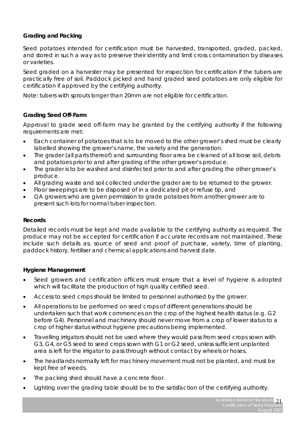# **Grading and Packing**

Seed potatoes intended for certification must be harvested, transported, graded, packed, and stored in such a way as to preserve their identity and limit cross contamination by diseases or varieties.

Seed graded on a harvester may be presented for inspection for certification if the tubers are practically free of soil. Paddock picked and hand graded seed potatoes are only eligible for certification if approved by the certifying authority.

Note: tubers with sprouts longer than 20mm are not eligible for certification.

# **Grading Seed Off-Farm**

Approval to grade seed off-farm may be granted by the certifying authority if the following requirements are met:

- Each container of potatoes that is to be moved to the other grower's shed must be clearly labelled showing the grower's name, the variety and the generation.
- The grader (all parts thereof) and surrounding floor area be cleaned of all loose soil, debris and potatoes prior to and after grading of the other grower's produce.
- The grader is to be washed and disinfected prior to and after grading the other grower's produce.
- All grading waste and soil collected under the grader are to be returned to the grower.
- Floor sweepings are to be disposed of in a dedicated pit or refuse tip, and
- QA growers who are given permission to grade potatoes from another grower are to present such lots for normal tuber inspection.

### **Records**

Detailed records must be kept and made available to the certifying authority as required. The produce may not be accepted for certification if accurate records are not maintained. These include such details as; source of seed and proof of purchase, variety, time of planting, paddock history, fertiliser and chemical applications and harvest date.

### **Hygiene Management**

- Seed growers and certification officers must ensure that a level of hygiene is adopted which will facilitate the production of high quality certified seed.
- Access to seed crops should be limited to personnel authorised by the grower.
- All operations to be performed on seed crops of different generations should be undertaken such that work commences on the crop of the highest health status (e.g. G2 before G4). Personnel and machinery should never move from a crop of lower status to a crop of higher status without hygiene precautions being implemented.
- Travelling irrigators should not be used where they would pass from seed crops sown with G3, G4, or G5 seed to seed crops sown with G1 or G2 seed, unless sufficient unplanted area is left for the irrigator to pass through without contact by wheels or hoses.
- The headlands normally left for machinery movement must not be planted, and must be kept free of weeds.
- The packing shed should have a concrete floor.
- Lighting over the grading table should be to the satisfaction of the certifying authority.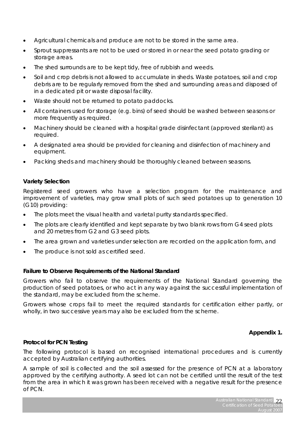- Agricultural chemicals and produce are not to be stored in the same area.
- Sprout suppressants are not to be used or stored in or near the seed potato grading or storage areas.
- The shed surrounds are to be kept tidy, free of rubbish and weeds.
- Soil and crop debris is not allowed to accumulate in sheds. Waste potatoes, soil and crop debris are to be regularly removed from the shed and surrounding areas and disposed of in a dedicated pit or waste disposal facility.
- Waste should not be returned to potato paddocks.
- All containers used for storage (e.g. bins) of seed should be washed between seasons or more frequently as required.
- Machinery should be cleaned with a hospital grade disinfectant (approved sterilant) as required.
- A designated area should be provided for cleaning and disinfection of machinery and equipment.
- Packing sheds and machinery should be thoroughly cleaned between seasons.

# **Variety Selection**

Registered seed growers who have a selection program for the maintenance and improvement of varieties, may grow small plots of such seed potatoes up to generation 10 (G10) providing:

- The plots meet the visual health and varietal purity standards specified.
- The plots are clearly identified and kept separate by two blank rows from G4 seed plots and 20 metres from G2 and G3 seed plots.
- The area grown and varieties under selection are recorded on the application form, and
- The produce is not sold as certified seed.

### **Failure to Observe Requirements of the National Standard**

Growers who fail to observe the requirements of the National Standard governing the production of seed potatoes, or who act in any way against the successful implementation of the standard, may be excluded from the scheme.

Growers whose crops fail to meet the required standards for certification either partly, or wholly, in two successive years may also be excluded from the scheme.

### **Appendix 1.**

### **Protocol for PCN Testing**

The following protocol is based on recognised international procedures and is currently accepted by Australian certifying authorities.

A sample of soil is collected and the soil assessed for the presence of PCN at a laboratory approved by the certifying authority. A seed lot can not be certified until the result of the test from the area in which it was grown has been received with a negative result for the presence of PCN.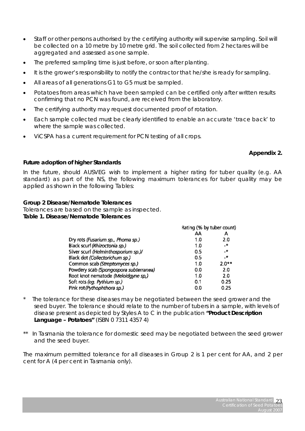- Staff or other persons authorised by the certifying authority will supervise sampling. Soil will be collected on a 10 metre by 10 metre grid. The soil collected from 2 hectares will be aggregated and assessed as one sample. The preferred sampling time is just before, or soon after planting.
- It is the grower's responsibility to notify the contractor that he/she is ready for sampling.
- All areas of all generations G1 to G5 must be sampled.
- Potatoes from areas which have been sampled can be certified only after written results confirming that no PCN was found, are received from the laboratory.
- The certifying authority may request documented proof of rotation.
- Each sample collected must be clearly identified to enable an accurate 'trace back' to where the sample was collected.
- ViCSPA has a current requirement for PCN testing of all crops.

# **Appendix 2.**

# **Future adoption of higher Standards**

In the future, should AUSVEG wish to implement a higher rating for tuber quality (e.g. AA standard) as part of the NS, the following maximum tolerances for tuber quality may be applied as shown in the following Tables:

# **Group 2 Disease/Nematode Tolerances**

*Tolerances are based on the sample as inspected. Table 1. Disease/Nematode Tolerances* 

|                                        | Rating (% by tuber count) |                 |
|----------------------------------------|---------------------------|-----------------|
|                                        | AA                        | А               |
| Dry rots (Fusarium sp., Phoma sp.)     | 1.0                       | 2.0             |
| Black scurf (Rhizoctonia sp.)          | 1.0                       | $\cdot$ $\star$ |
| Silver scurf (Helminthosporium sp.)/   | 0.5                       | $\mathcal{L}$   |
| Black dot (Collectorichum sp.)         | 0.5                       | $\sim$          |
| Common scab (Streptomyces sp.)         | 1.0                       | $2.0**$         |
| Powdery scab (Spongospora subterranea) | 0.0                       | 2.0             |
| Root knot nematode (Meloidgyne sp.)    | 1.0                       | 20              |
| Soft rots (eg. Pythium sp.)            | 0.1                       | 0.25            |
| Pink rot (Pythophthora sp.)            | 0.0                       | 0.25            |

- The tolerance for these diseases may be negotiated between the seed grower and the seed buyer. The tolerance should relate to the number of tubers in a sample, with levels of disease present as depicted by Styles A to C in the publication **"Product Description Language – Potatoes"** (ISBN 0 7311 4357 4)
- In Tasmania the tolerance for domestic seed may be negotiated between the seed grower and the seed buyer.

The maximum permitted tolerance for all diseases in Group 2 is 1 per cent for AA, and 2 per cent for A (4 per cent in Tasmania only).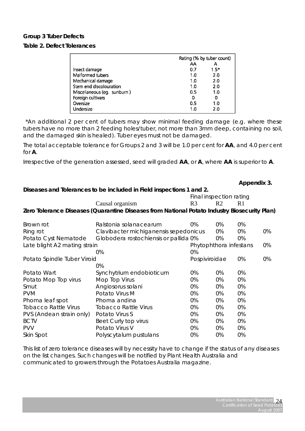### **Group 3 Tuber Defects**

#### *Table 2. Defect Tolerances*

|                             |     | Rating (% by tuber count) |
|-----------------------------|-----|---------------------------|
|                             | AA  |                           |
| Insect damage               | 0.7 | $1.5*$                    |
| Malformed tubers            | 1.0 | 2.0                       |
| Mechanical damage           | 10  | 20                        |
| Stem end discolouration     | 1.0 | 20                        |
| Miscellaneous (eg. sunburn) | 0.5 | 1.0                       |
| Foreign cultivars           | 0   | 0                         |
| Oversize                    | 0.5 | 1.0                       |
| Undersize                   | 1.0 | 2.0                       |

\*An additional 2 per cent of tubers may show minimal feeding damage (e.g. where these tubers have no more than 2 feeding holes/tuber, not more than 3mm deep, containing no soil, and the damaged skin is healed). Tuber eyes must not be damaged.

The total acceptable tolerance for Groups 2 and 3 will be 1.0 per cent for **AA**, and 4.0 per cent for **A**.

Irrespective of the generation assessed, seed will graded **AA**, or **A**, where **AA** is superior to **A**.

|                              |                                                                                              |                |                         | Appendix 3.    |    |
|------------------------------|----------------------------------------------------------------------------------------------|----------------|-------------------------|----------------|----|
|                              | Diseases and Tolerances to be included in Field inspections 1 and 2.                         |                |                         |                |    |
|                              |                                                                                              |                | Final inspection rating |                |    |
|                              | Causal organism                                                                              | R <sub>3</sub> | R <sub>2</sub>          | R <sub>1</sub> |    |
|                              | Zero Tolerance Diseases (Quarantine Diseases from National Potato Industry Biosecurity Plan) |                |                         |                |    |
|                              |                                                                                              |                |                         |                |    |
| Brown rot                    | Ralstonia solanacearum                                                                       | 0%             | 0%                      | 0%             |    |
| Ring rot                     | Clavibacter michiganensis sepedonicus                                                        |                | 0%                      | 0%             | 0% |
| Potato Cyst Nematode         | Globodera rostochiensis or pallida 0%                                                        |                | 0%                      | 0%             |    |
| Late blight A2 mating strain |                                                                                              |                | Phytophthora infestans  |                | 0% |
|                              | 0%                                                                                           | 0%             |                         |                |    |
| Potato Spindle Tuber Viroid  |                                                                                              | Pospiviroidae  |                         | 0%             | 0% |
|                              | 0%                                                                                           |                |                         |                |    |
| Potato Wart                  | Synchytrium endobioticum                                                                     | 0%             | 0%                      | 0%             |    |
| Potato Mop Top virus         | Mop Top Virus                                                                                | 0%             | 0%                      | 0%             |    |
| Smut                         | Angiosorus solani                                                                            | 0%             | 0%                      | 0%             |    |
| <b>PVM</b>                   | Potato Virus M                                                                               | 0%             | 0%                      | 0%             |    |
| Phoma leaf spot              | Phoma andina                                                                                 | 0%             | 0%                      | 0%             |    |
| <b>Tobacco Rattle Virus</b>  | <b>Tobacco Rattle Virus</b>                                                                  | 0%             | 0%                      | 0%             |    |
| PVS (Andean strain only)     | Potato Virus S                                                                               | 0%             | 0%                      | 0%             |    |
| <b>BCTV</b>                  | Beet Curly top virus                                                                         | 0%             | 0%                      | 0%             |    |
| <b>PVV</b>                   | Potato Virus V                                                                               | 0%             | 0%                      | 0%             |    |
| Skin Spot                    | Polyscytalum pustulans                                                                       | 0%             | 0%                      | 0%             |    |

This list of zero tolerance diseases will by necessity have to change if the status of any diseases on the list changes. Such changes will be notified by Plant Health Australia and communicated to growers through the Potatoes Australia magazine.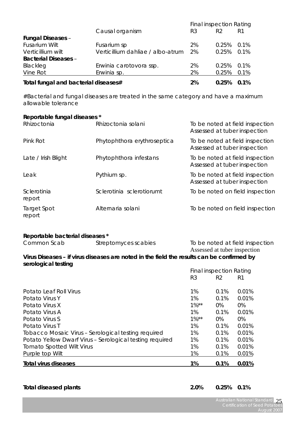|                                      |                                   | <b>Final inspection Rating</b> |                |         |  |
|--------------------------------------|-----------------------------------|--------------------------------|----------------|---------|--|
|                                      | Causal organism                   | R3                             | R <sub>2</sub> | R1      |  |
| <b>Fungal Diseases -</b>             |                                   |                                |                |         |  |
| Fusarium Wilt                        | Fusarium sp                       | 2%                             | 0.25%          | 0.1%    |  |
| Verticillium wilt                    | Verticillium dahliae / albo-atrum | 2%                             | 0.25%          | 0.1%    |  |
| <b>Bacterial Diseases -</b>          |                                   |                                |                |         |  |
| Blackleg                             | Erwinia carotovora ssp.           | 2%                             | 0.25%          | $0.1\%$ |  |
| Vine Rot                             | Erwinia sp.                       | 2%                             | 0.25%          | 0.1%    |  |
| Total fungal and bacterial diseases# |                                   | 2%                             | 0.25%          | 0.1%    |  |

#Bacterial and fungal diseases are treated in the same category and have a maximum allowable tolerance

# **Reportable fungal diseases \***

| Rhizoctonia           | Rhizoctonia solani          | To be noted at field inspection<br>Assessed at tuber inspection |
|-----------------------|-----------------------------|-----------------------------------------------------------------|
| Pink Rot              | Phytophthora erythroseptica | To be noted at field inspection<br>Assessed at tuber inspection |
| Late / Irish Blight   | Phytophthora infestans      | To be noted at field inspection<br>Assessed at tuber inspection |
| Leak                  | Pythium sp.                 | To be noted at field inspection<br>Assessed at tuber inspection |
| Sclerotinia<br>report | Sclerotinia sclerotiorumt   | To be noted on field inspection                                 |
| Target Spot<br>report | Alternaria solani           | To be noted on field inspection                                 |

# **Reportable bacterial diseases \***

| Common Scab         | Streptomyces scabies                                                                      |    |                                | To be noted at field inspection |  |
|---------------------|-------------------------------------------------------------------------------------------|----|--------------------------------|---------------------------------|--|
|                     |                                                                                           |    |                                | Assessed at tuber inspection    |  |
| serological testing | Virus Diseases - if virus diseases are noted in the field the results can be confirmed by |    |                                |                                 |  |
|                     |                                                                                           |    | <b>Final inspection Rating</b> |                                 |  |
|                     |                                                                                           | R3 |                                |                                 |  |

|                                                          | ĸэ       | KZ.  | K I   |
|----------------------------------------------------------|----------|------|-------|
| Potato Leaf Roll Virus                                   | 1%       | 0.1% | 0.01% |
| Potato Virus Y                                           | 1%       | 0.1% | 0.01% |
| Potato Virus X                                           | $1\%$ ** | 0%   | 0%    |
| Potato Virus A                                           | 1%       | 0.1% | 0.01% |
| Potato Virus S                                           | $1\%$ ** | 0%   | 0%    |
| Potato Virus T                                           | 1%       | 0.1% | 0.01% |
| Tobacco Mosaic Virus - Serological testing required      | 1%       | 0.1% | 0.01% |
| Potato Yellow Dwarf Virus - Serological testing required | 1%       | 0.1% | 0.01% |
| <b>Tomato Spotted Wilt Virus</b>                         | 1%       | 0.1% | 0.01% |
| Purple top Wilt                                          | 1%       | 0.1% | 0.01% |
| <b>Total virus diseases</b>                              | 1%       | 0.1% | 0.01% |

# **Total diseased plants 2.0% 0.25% 0.1%**